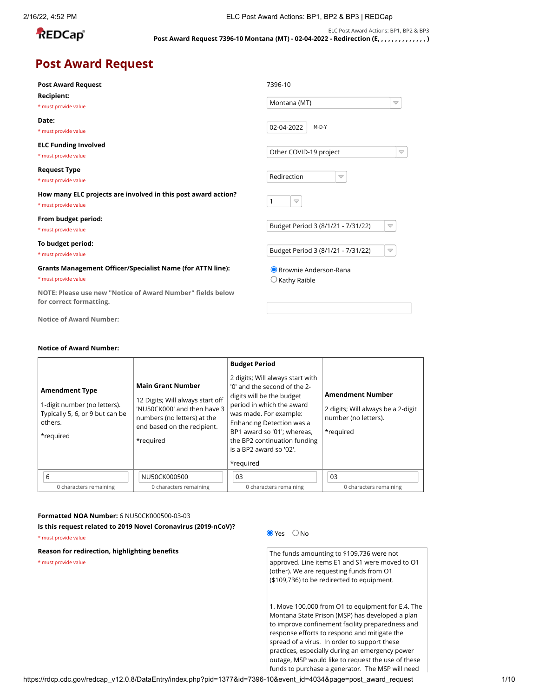| ╾      |        |  |
|--------|--------|--|
| т<br>⊏ | D<br>а |  |
|        |        |  |

ELC Post Award Actions: BP1, BP2 & BP3 **Post Award Request 7396-10 Montana (MT) - 02-04-2022 - Redirection (E, , , , , , , , , , , , , , )**

### **Post Award Request**

| <b>Post Award Request</b>                                                             | 7396-10                            |  |  |
|---------------------------------------------------------------------------------------|------------------------------------|--|--|
| Recipient:                                                                            | Montana (MT)                       |  |  |
| * must provide value                                                                  | $\overline{\phantom{0}}$           |  |  |
| Date:                                                                                 | 02-04-2022                         |  |  |
| * must provide value                                                                  | M-D-Y                              |  |  |
| <b>ELC Funding Involved</b>                                                           | Other COVID-19 project             |  |  |
| * must provide value                                                                  | $\blacktriangledown$               |  |  |
| <b>Request Type</b>                                                                   | Redirection                        |  |  |
| * must provide value                                                                  | $\blacktriangledown$               |  |  |
| How many ELC projects are involved in this post award action?                         | 1                                  |  |  |
| * must provide value                                                                  | $\triangledown$                    |  |  |
| From budget period:                                                                   | Budget Period 3 (8/1/21 - 7/31/22) |  |  |
| * must provide value                                                                  | $\triangledown$                    |  |  |
| To budget period:                                                                     | Budget Period 3 (8/1/21 - 7/31/22) |  |  |
| * must provide value                                                                  | $\triangledown$                    |  |  |
| <b>Grants Management Officer/Specialist Name (for ATTN line):</b>                     | ● Brownie Anderson-Rana            |  |  |
| * must provide value                                                                  | $\bigcirc$ Kathy Raible            |  |  |
| NOTE: Please use new "Notice of Award Number" fields below<br>for correct formatting. |                                    |  |  |

#### **Notice of Award Number:**

| for correct formatting.                                                                                          | NOTE: Please use new "Notice of Award Number" fields below                                                                                                             |                                                                                                                                                                                                                                                                                                                  |                          |                                                                                                                                                                                                                                                                                                                                                                                                                                                    |
|------------------------------------------------------------------------------------------------------------------|------------------------------------------------------------------------------------------------------------------------------------------------------------------------|------------------------------------------------------------------------------------------------------------------------------------------------------------------------------------------------------------------------------------------------------------------------------------------------------------------|--------------------------|----------------------------------------------------------------------------------------------------------------------------------------------------------------------------------------------------------------------------------------------------------------------------------------------------------------------------------------------------------------------------------------------------------------------------------------------------|
| <b>Notice of Award Number:</b>                                                                                   |                                                                                                                                                                        |                                                                                                                                                                                                                                                                                                                  |                          |                                                                                                                                                                                                                                                                                                                                                                                                                                                    |
| <b>Notice of Award Number:</b>                                                                                   |                                                                                                                                                                        |                                                                                                                                                                                                                                                                                                                  |                          |                                                                                                                                                                                                                                                                                                                                                                                                                                                    |
| <b>Amendment Type</b><br>1-digit number (no letters).<br>Typically 5, 6, or 9 but can be<br>others.<br>*required | <b>Main Grant Number</b><br>12 Digits; Will always start off<br>'NU50CK000' and then have 3<br>numbers (no letters) at the<br>end based on the recipient.<br>*required | <b>Budget Period</b><br>2 digits; Will always start with<br>'0' and the second of the 2-<br>digits will be the budget<br>period in which the award<br>was made. For example:<br>Enhancing Detection was a<br>BP1 award so '01'; whereas,<br>the BP2 continuation funding<br>is a BP2 award so '02'.<br>*required |                          | <b>Amendment Number</b><br>2 digits; Will always be a 2-digit<br>number (no letters).<br>*required                                                                                                                                                                                                                                                                                                                                                 |
| 6                                                                                                                | NU50CK000500                                                                                                                                                           | 03                                                                                                                                                                                                                                                                                                               |                          | 03                                                                                                                                                                                                                                                                                                                                                                                                                                                 |
| 0 characters remaining                                                                                           | 0 characters remaining                                                                                                                                                 | 0 characters remaining                                                                                                                                                                                                                                                                                           |                          | 0 characters remaining                                                                                                                                                                                                                                                                                                                                                                                                                             |
| Formatted NOA Number: 6 NU50CK000500-03-03<br>* must provide value                                               | Is this request related to 2019 Novel Coronavirus (2019-nCoV)?                                                                                                         |                                                                                                                                                                                                                                                                                                                  | $\bullet$ Yes $\circ$ No |                                                                                                                                                                                                                                                                                                                                                                                                                                                    |
| Reason for redirection, highlighting benefits<br>* must provide value                                            |                                                                                                                                                                        |                                                                                                                                                                                                                                                                                                                  |                          | The funds amounting to \$109,736 were not<br>approved. Line items E1 and S1 were moved to O1<br>(other). We are requesting funds from O1<br>(\$109,736) to be redirected to equipment.<br>1. Move 100,000 from O1 to equipment for E.4. The<br>Montana State Prison (MSP) has developed a plan<br>to improve confinement facility preparedness and<br>response efforts to respond and mitigate the<br>spread of a virus. In order to support these |
|                                                                                                                  |                                                                                                                                                                        |                                                                                                                                                                                                                                                                                                                  |                          | practices, especially during an emergency power<br>outage, MSP would like to request the use of these<br>funds to purchase a generator. The MSP will need                                                                                                                                                                                                                                                                                          |

#### **Formatted NOA Number:** 6 NU50CK000500-03-03

### **Reason for redirection, highlighting benefits**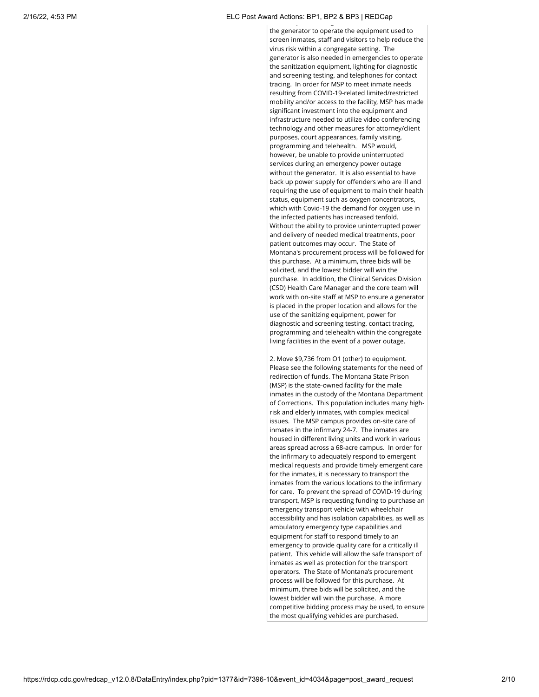#### 2/16/22, 4:53 PM ELC Post Award Actions: BP1, BP2 & BP3 | REDCap p graduate de la provincia de la provincia de la provincia de la provincia de la provincia de la provincia de<br>Desenvolvers de la provincia de la provincia de la provincia de la provincia de la provincia de la provincia d

the generator to operate the equipment used to screen inmates, staff and visitors to help reduce the virus risk within a congregate setting. The generator is also needed in emergencies to operate the sanitization equipment, lighting for diagnostic and screening testing, and telephones for contact tracing. In order for MSP to meet inmate needs resulting from COVID-19-related limited/restricted mobility and/or access to the facility, MSP has made significant investment into the equipment and infrastructure needed to utilize video conferencing technology and other measures for attorney/client purposes, court appearances, family visiting, programming and telehealth. MSP would, however, be unable to provide uninterrupted services during an emergency power outage without the generator. It is also essential to have back up power supply for offenders who are ill and requiring the use of equipment to main their health status, equipment such as oxygen concentrators, which with Covid-19 the demand for oxygen use in the infected patients has increased tenfold. Without the ability to provide uninterrupted power and delivery of needed medical treatments, poor patient outcomes may occur. The State of Montana's procurement process will be followed for this purchase. At a minimum, three bids will be solicited, and the lowest bidder will win the purchase. In addition, the Clinical Services Division (CSD) Health Care Manager and the core team will work with on-site staff at MSP to ensure a generator is placed in the proper location and allows for the use of the sanitizing equipment, power for diagnostic and screening testing, contact tracing, programming and telehealth within the congregate living facilities in the event of a power outage.

2. Move \$9,736 from O1 (other) to equipment. Please see the following statements for the need of redirection of funds. The Montana State Prison (MSP) is the state-owned facility for the male inmates in the custody of the Montana Department of Corrections. This population includes many highrisk and elderly inmates, with complex medical issues. The MSP campus provides on-site care of inmates in the infirmary 24-7. The inmates are housed in different living units and work in various areas spread across a 68-acre campus. In order for the infirmary to adequately respond to emergent medical requests and provide timely emergent care for the inmates, it is necessary to transport the inmates from the various locations to the infirmary for care. To prevent the spread of COVID-19 during transport, MSP is requesting funding to purchase an emergency transport vehicle with wheelchair accessibility and has isolation capabilities, as well as ambulatory emergency type capabilities and equipment for staff to respond timely to an emergency to provide quality care for a critically ill patient. This vehicle will allow the safe transport of inmates as well as protection for the transport operators. The State of Montana's procurement process will be followed for this purchase. At minimum, three bids will be solicited, and the lowest bidder will win the purchase. A more competitive bidding process may be used, to ensure the most qualifying vehicles are purchased.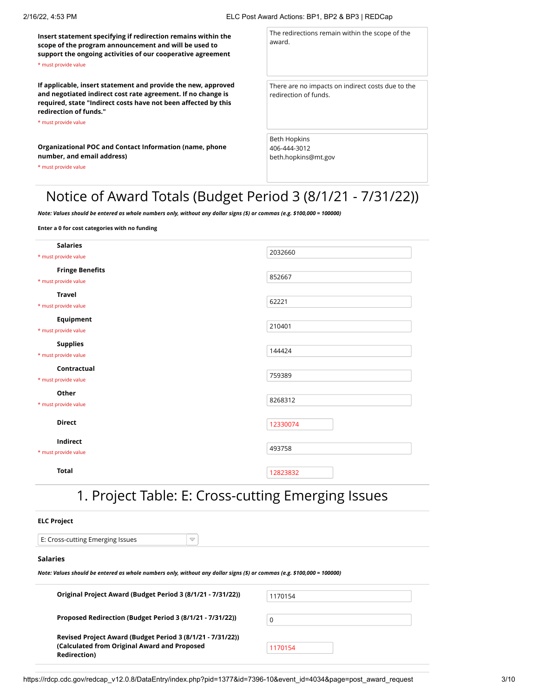**Insert statement specifying if redirection remains within the scope of the program announcement and will be used to support the ongoing activities of our cooperative agreement** \* must provide value

**If applicable, insert statement and provide the new, approved and negotiated indirect cost rate agreement. If no change is required, state "Indirect costs have not been affected by this redirection of funds."**

\* must provide value

**Organizational POC and Contact Information (name, phone number, and email address)**

\* must provide value

The redirections remain within the scope of the award.

There are no impacts on indirect costs due to the redirection of funds.

Beth Hopkins 406-444-3012 beth.hopkins@mt.gov

# Notice of Award Totals (Budget Period 3 (8/1/21 - 7/31/22))

*Note: Values should be entered as whole numbers only, without any dollar signs (\$) or commas (e.g. \$100,000 = 100000)*

**Enter a 0 for cost categories with no funding**

| <b>Salaries</b><br>* must provide value        | 2032660  |
|------------------------------------------------|----------|
| <b>Fringe Benefits</b><br>* must provide value | 852667   |
| <b>Travel</b><br>* must provide value          | 62221    |
| Equipment<br>* must provide value              | 210401   |
| <b>Supplies</b><br>* must provide value        | 144424   |
| Contractual<br>* must provide value            | 759389   |
| Other<br>* must provide value                  | 8268312  |
| <b>Direct</b>                                  | 12330074 |
| Indirect<br>* must provide value               | 493758   |
| <b>Total</b>                                   | 12823832 |

## 1. Project Table: E: Cross-cutting Emerging Issues

#### **ELC Project**

E: Cross-cutting Emerging Issues

#### **Salaries**

*Note: Values should be entered as whole numbers only, without any dollar signs (\$) or commas (e.g. \$100,000 = 100000)*

 $\Rightarrow$ 

| Original Project Award (Budget Period 3 (8/1/21 - 7/31/22))                                                                        | 1170154 |
|------------------------------------------------------------------------------------------------------------------------------------|---------|
| Proposed Redirection (Budget Period 3 (8/1/21 - 7/31/22))                                                                          | 0       |
| Revised Project Award (Budget Period 3 (8/1/21 - 7/31/22))<br>(Calculated from Original Award and Proposed<br><b>Redirection</b> ) | 1170154 |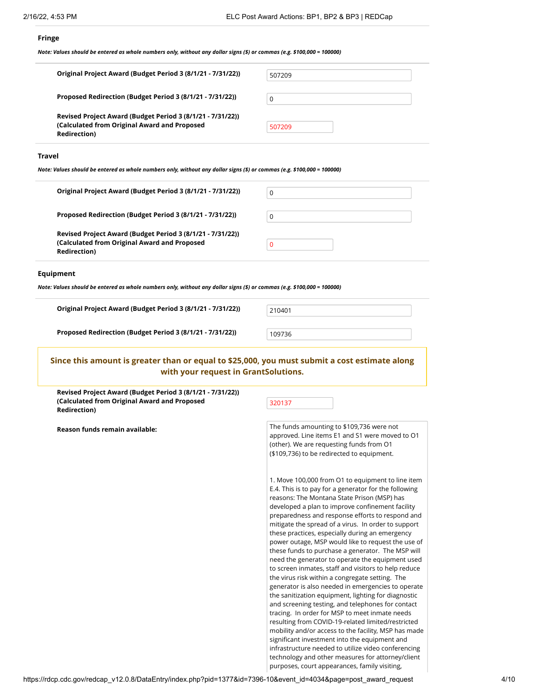#### **Fringe**

*Note: Values should be entered as whole numbers only, without any dollar signs (\$) or commas (e.g. \$100,000 = 100000)*

| Original Project Award (Budget Period 3 (8/1/21 - 7/31/22))                                                                        | 507209 |
|------------------------------------------------------------------------------------------------------------------------------------|--------|
| Proposed Redirection (Budget Period 3 (8/1/21 - 7/31/22))                                                                          | 0      |
| Revised Project Award (Budget Period 3 (8/1/21 - 7/31/22))<br>(Calculated from Original Award and Proposed<br><b>Redirection</b> ) | 507209 |

#### **Travel**

*Note: Values should be entered as whole numbers only, without any dollar signs (\$) or commas (e.g. \$100,000 = 100000)*

| Original Project Award (Budget Period 3 (8/1/21 - 7/31/22))                                                | 0 |
|------------------------------------------------------------------------------------------------------------|---|
| Proposed Redirection (Budget Period 3 (8/1/21 - 7/31/22))                                                  | 0 |
| Revised Project Award (Budget Period 3 (8/1/21 - 7/31/22))<br>(Calculated from Original Award and Proposed | 0 |
| <b>Redirection</b> )                                                                                       |   |

#### **Equipment**

*Note: Values should be entered as whole numbers only, without any dollar signs (\$) or commas (e.g. \$100,000 = 100000)*

| Original Project Award (Budget Period 3 (8/1/21 - 7/31/22)) | 210401 |
|-------------------------------------------------------------|--------|
|                                                             |        |

| 101 |  |  |  |
|-----|--|--|--|
|     |  |  |  |

```
Proposed Redirection (Budget Period 3 (8/1/21 - 7/31/22)) 109736
```
#### **Since this amount is greater than or equal to \$25,000, you must submit a cost estimate along with your request in GrantSolutions.**

**Revised Project Award (Budget Period 3 (8/1/21 - 7/31/22)) (Calculated from Original Award and Proposed Redirection)**

320137

**Reason funds remain available:** The funds amounting to \$109,736 were not approved. Line items E1 and S1 were moved to O1 (other). We are requesting funds from O1 (\$109,736) to be redirected to equipment.

> 1. Move 100,000 from O1 to equipment to line item E.4. This is to pay for a generator for the following reasons: The Montana State Prison (MSP) has developed a plan to improve confinement facility preparedness and response efforts to respond and mitigate the spread of a virus. In order to support these practices, especially during an emergency power outage, MSP would like to request the use of these funds to purchase a generator. The MSP will need the generator to operate the equipment used to screen inmates, staff and visitors to help reduce the virus risk within a congregate setting. The generator is also needed in emergencies to operate the sanitization equipment, lighting for diagnostic and screening testing, and telephones for contact tracing. In order for MSP to meet inmate needs resulting from COVID-19-related limited/restricted mobility and/or access to the facility, MSP has made significant investment into the equipment and infrastructure needed to utilize video conferencing technology and other measures for attorney/client purposes, court appearances, family visiting,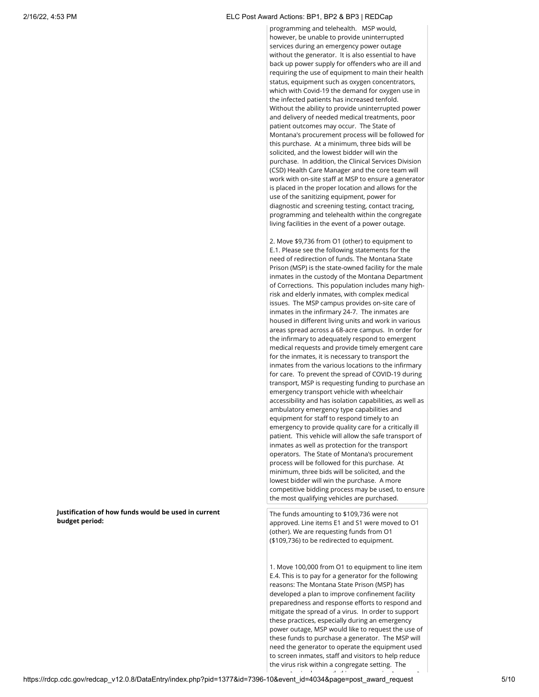#### 2/16/22, 4:53 PM ELC Post Award Actions: BP1, BP2 & BP3 | REDCap

programming and telehealth. MSP would, however, be unable to provide uninterrupted services during an emergency power outage without the generator. It is also essential to have back up power supply for offenders who are ill and requiring the use of equipment to main their health status, equipment such as oxygen concentrators, which with Covid-19 the demand for oxygen use in the infected patients has increased tenfold. Without the ability to provide uninterrupted power and delivery of needed medical treatments, poor patient outcomes may occur. The State of Montana's procurement process will be followed for this purchase. At a minimum, three bids will be solicited, and the lowest bidder will win the purchase. In addition, the Clinical Services Division (CSD) Health Care Manager and the core team will work with on-site staff at MSP to ensure a generator is placed in the proper location and allows for the use of the sanitizing equipment, power for diagnostic and screening testing, contact tracing, programming and telehealth within the congregate living facilities in the event of a power outage.

2. Move \$9,736 from O1 (other) to equipment to E.1. Please see the following statements for the need of redirection of funds. The Montana State Prison (MSP) is the state-owned facility for the male inmates in the custody of the Montana Department of Corrections. This population includes many highrisk and elderly inmates, with complex medical issues. The MSP campus provides on-site care of inmates in the infirmary 24-7. The inmates are housed in different living units and work in various areas spread across a 68-acre campus. In order for the infirmary to adequately respond to emergent medical requests and provide timely emergent care for the inmates, it is necessary to transport the inmates from the various locations to the infirmary for care. To prevent the spread of COVID-19 during transport, MSP is requesting funding to purchase an emergency transport vehicle with wheelchair accessibility and has isolation capabilities, as well as ambulatory emergency type capabilities and equipment for staff to respond timely to an emergency to provide quality care for a critically ill patient. This vehicle will allow the safe transport of inmates as well as protection for the transport operators. The State of Montana's procurement process will be followed for this purchase. At minimum, three bids will be solicited, and the lowest bidder will win the purchase. A more competitive bidding process may be used, to ensure the most qualifying vehicles are purchased.

The funds amounting to \$109,736 were not approved. Line items E1 and S1 were moved to O1 (other). We are requesting funds from O1 (\$109,736) to be redirected to equipment.

1. Move 100,000 from O1 to equipment to line item E.4. This is to pay for a generator for the following reasons: The Montana State Prison (MSP) has developed a plan to improve confinement facility preparedness and response efforts to respond and mitigate the spread of a virus. In order to support these practices, especially during an emergency power outage, MSP would like to request the use of these funds to purchase a generator. The MSP will need the generator to operate the equipment used to screen inmates, staff and visitors to help reduce the virus risk within a congregate setting. The

**Justification of how funds would be used in current budget period:**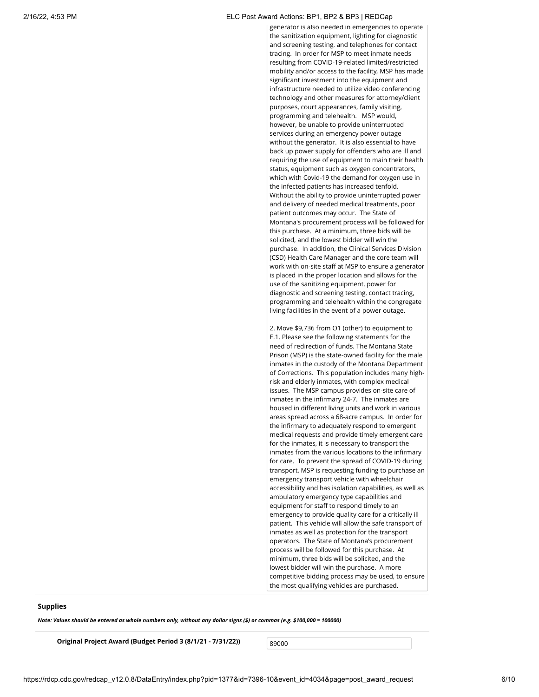#### 2/16/22, 4:53 PM ELC Post Award Actions: BP1, BP2 & BP3 | REDCap

generator is also needed in emergencies to operate the sanitization equipment, lighting for diagnostic and screening testing, and telephones for contact tracing. In order for MSP to meet inmate needs resulting from COVID-19-related limited/restricted mobility and/or access to the facility, MSP has made significant investment into the equipment and infrastructure needed to utilize video conferencing technology and other measures for attorney/client purposes, court appearances, family visiting, programming and telehealth. MSP would, however, be unable to provide uninterrupted services during an emergency power outage without the generator. It is also essential to have back up power supply for offenders who are ill and requiring the use of equipment to main their health status, equipment such as oxygen concentrators, which with Covid-19 the demand for oxygen use in the infected patients has increased tenfold. Without the ability to provide uninterrupted power and delivery of needed medical treatments, poor patient outcomes may occur. The State of Montana's procurement process will be followed for this purchase. At a minimum, three bids will be solicited, and the lowest bidder will win the purchase. In addition, the Clinical Services Division (CSD) Health Care Manager and the core team will work with on-site staff at MSP to ensure a generator is placed in the proper location and allows for the use of the sanitizing equipment, power for diagnostic and screening testing, contact tracing, programming and telehealth within the congregate living facilities in the event of a power outage.

2. Move \$9,736 from O1 (other) to equipment to E.1. Please see the following statements for the need of redirection of funds. The Montana State Prison (MSP) is the state-owned facility for the male inmates in the custody of the Montana Department of Corrections. This population includes many highrisk and elderly inmates, with complex medical issues. The MSP campus provides on-site care of inmates in the infirmary 24-7. The inmates are housed in different living units and work in various areas spread across a 68-acre campus. In order for the infirmary to adequately respond to emergent medical requests and provide timely emergent care for the inmates, it is necessary to transport the inmates from the various locations to the infirmary for care. To prevent the spread of COVID-19 during transport, MSP is requesting funding to purchase an emergency transport vehicle with wheelchair accessibility and has isolation capabilities, as well as ambulatory emergency type capabilities and equipment for staff to respond timely to an emergency to provide quality care for a critically ill patient. This vehicle will allow the safe transport of inmates as well as protection for the transport operators. The State of Montana's procurement process will be followed for this purchase. At minimum, three bids will be solicited, and the lowest bidder will win the purchase. A more competitive bidding process may be used, to ensure the most qualifying vehicles are purchased.

#### **Supplies**

*Note: Values should be entered as whole numbers only, without any dollar signs (\$) or commas (e.g. \$100,000 = 100000)*

**Original Project Award (Budget Period 3 (8/1/21 - 7/31/22))** 89000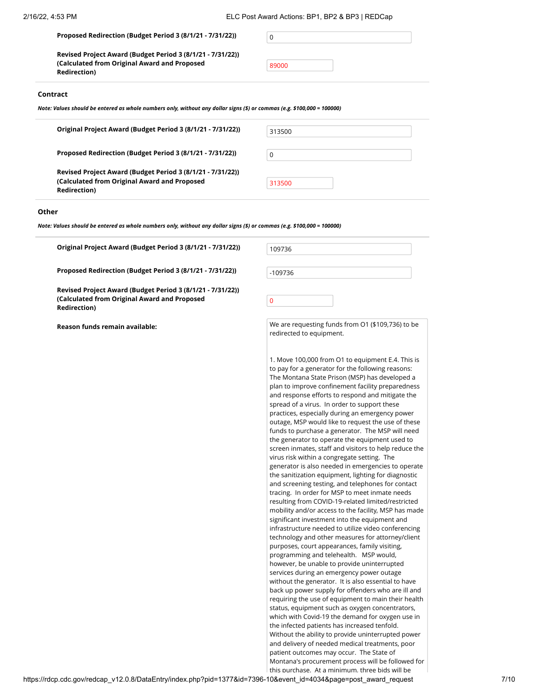#### **Proposed Redirection (Budget Period 3 (8/1/21 - 7/31/22))** 0

**Revised Project Award (Budget Period 3 (8/1/21 - 7/31/22)) (Calculated from Original Award and Proposed Redirection)**

#### **Contract**

*Note: Values should be entered as whole numbers only, without any dollar signs (\$) or commas (e.g. \$100,000 = 100000)*

| Original Project Award (Budget Period 3 (8/1/21 - 7/31/22)) |  |
|-------------------------------------------------------------|--|
|                                                             |  |

Proposed Redirection (Budget Period 3 (8/1/21 - 7/31/22))

**Revised Project Award (Budget Period 3 (8/1/21 - 7/31/22)) (Calculated from Original Award and Proposed Redirection)**

| 313500 |  |
|--------|--|
|        |  |
| 0      |  |
|        |  |
| 313500 |  |

#### **Other**

*Note: Values should be entered as whole numbers only, without any dollar signs (\$) or commas (e.g. \$100,000 = 100000)*

Original Project Award (Budget Period 3 (8/1/21 - 7/31/22))

**Proposed Redirection (Budget Period 3 (8/1/21 - 7/31/22))**

**Revised Project Award (Budget Period 3 (8/1/21 - 7/31/22)) (Calculated from Original Award and Proposed Redirection)**

**Reason funds remain available:**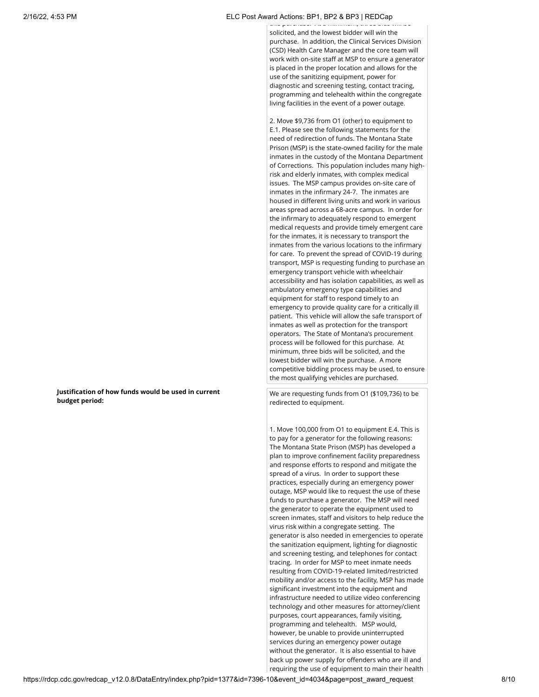#### 2/16/22, 4:53 PM ELC Post Award Actions: BP1, BP2 & BP3 | REDCap

this purchase. At a minimum, three solicited, and the lowest bidder will win the purchase. In addition, the Clinical Services Division (CSD) Health Care Manager and the core team will work with on-site staff at MSP to ensure a generator is placed in the proper location and allows for the use of the sanitizing equipment, power for diagnostic and screening testing, contact tracing, programming and telehealth within the congregate living facilities in the event of a power outage.

2. Move \$9,736 from O1 (other) to equipment to E.1. Please see the following statements for the need of redirection of funds. The Montana State Prison (MSP) is the state-owned facility for the male inmates in the custody of the Montana Department of Corrections. This population includes many highrisk and elderly inmates, with complex medical issues. The MSP campus provides on-site care of inmates in the infirmary 24-7. The inmates are housed in different living units and work in various areas spread across a 68-acre campus. In order for the infirmary to adequately respond to emergent medical requests and provide timely emergent care for the inmates, it is necessary to transport the inmates from the various locations to the infirmary for care. To prevent the spread of COVID-19 during transport, MSP is requesting funding to purchase an emergency transport vehicle with wheelchair accessibility and has isolation capabilities, as well as ambulatory emergency type capabilities and equipment for staff to respond timely to an emergency to provide quality care for a critically ill patient. This vehicle will allow the safe transport of inmates as well as protection for the transport operators. The State of Montana's procurement process will be followed for this purchase. At minimum, three bids will be solicited, and the lowest bidder will win the purchase. A more competitive bidding process may be used, to ensure the most qualifying vehicles are purchased.

We are requesting funds from O1 (\$109,736) to be redirected to equipment.

1. Move 100,000 from O1 to equipment E.4. This is to pay for a generator for the following reasons: The Montana State Prison (MSP) has developed a plan to improve confinement facility preparedness and response efforts to respond and mitigate the spread of a virus. In order to support these practices, especially during an emergency power outage, MSP would like to request the use of these funds to purchase a generator. The MSP will need the generator to operate the equipment used to screen inmates, staff and visitors to help reduce the virus risk within a congregate setting. The generator is also needed in emergencies to operate the sanitization equipment, lighting for diagnostic and screening testing, and telephones for contact tracing. In order for MSP to meet inmate needs resulting from COVID-19-related limited/restricted mobility and/or access to the facility, MSP has made significant investment into the equipment and infrastructure needed to utilize video conferencing technology and other measures for attorney/client purposes, court appearances, family visiting, programming and telehealth. MSP would, however, be unable to provide uninterrupted services during an emergency power outage without the generator. It is also essential to have back up power supply for offenders who are ill and requiring the use of equipment to main their health

**Justification of how funds would be used in current budget period:**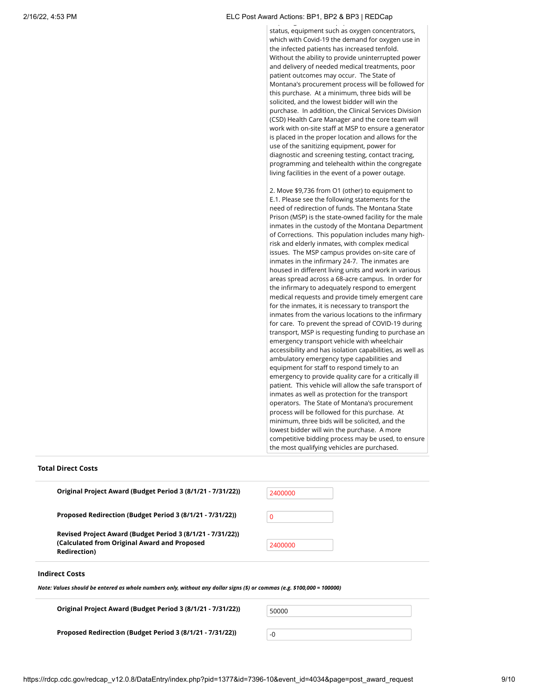#### 2/16/22, 4:53 PM ELC Post Award Actions: BP1, BP2 & BP3 | REDCap  $\mathbf{q}$  g  $\mathbf{q}$  and  $\mathbf{q}$  and  $\mathbf{q}$

status, equipment such as oxygen concentrators, which with Covid-19 the demand for oxygen use in the infected patients has increased tenfold. Without the ability to provide uninterrupted power and delivery of needed medical treatments, poor patient outcomes may occur. The State of Montana's procurement process will be followed for this purchase. At a minimum, three bids will be solicited, and the lowest bidder will win the purchase. In addition, the Clinical Services Division (CSD) Health Care Manager and the core team will work with on-site staff at MSP to ensure a generator is placed in the proper location and allows for the use of the sanitizing equipment, power for diagnostic and screening testing, contact tracing, programming and telehealth within the congregate living facilities in the event of a power outage.

2. Move \$9,736 from O1 (other) to equipment to E.1. Please see the following statements for the need of redirection of funds. The Montana State Prison (MSP) is the state-owned facility for the male inmates in the custody of the Montana Department of Corrections. This population includes many highrisk and elderly inmates, with complex medical issues. The MSP campus provides on-site care of inmates in the infirmary 24-7. The inmates are housed in different living units and work in various areas spread across a 68-acre campus. In order for the infirmary to adequately respond to emergent medical requests and provide timely emergent care for the inmates, it is necessary to transport the inmates from the various locations to the infirmary for care. To prevent the spread of COVID-19 during transport, MSP is requesting funding to purchase an emergency transport vehicle with wheelchair accessibility and has isolation capabilities, as well as ambulatory emergency type capabilities and equipment for staff to respond timely to an emergency to provide quality care for a critically ill patient. This vehicle will allow the safe transport of inmates as well as protection for the transport operators. The State of Montana's procurement process will be followed for this purchase. At minimum, three bids will be solicited, and the lowest bidder will win the purchase. A more competitive bidding process may be used, to ensure the most qualifying vehicles are purchased.

#### **Total Direct Costs**

| <b>Redirection</b> )                                                                                       |             |
|------------------------------------------------------------------------------------------------------------|-------------|
| Revised Project Award (Budget Period 3 (8/1/21 - 7/31/22))<br>(Calculated from Original Award and Proposed | 2400000     |
| Proposed Redirection (Budget Period 3 (8/1/21 - 7/31/22))                                                  | $\mathbf 0$ |
| Original Project Award (Budget Period 3 (8/1/21 - 7/31/22))                                                | 2400000     |

*Note: Values should be entered as whole numbers only, without any dollar signs (\$) or commas (e.g. \$100,000 = 100000)*

| 50000 |  |  |
|-------|--|--|
|       |  |  |
|       |  |  |

**Proposed Redirection (Budget Period 3 (8/1/21 - 7/31/22))**